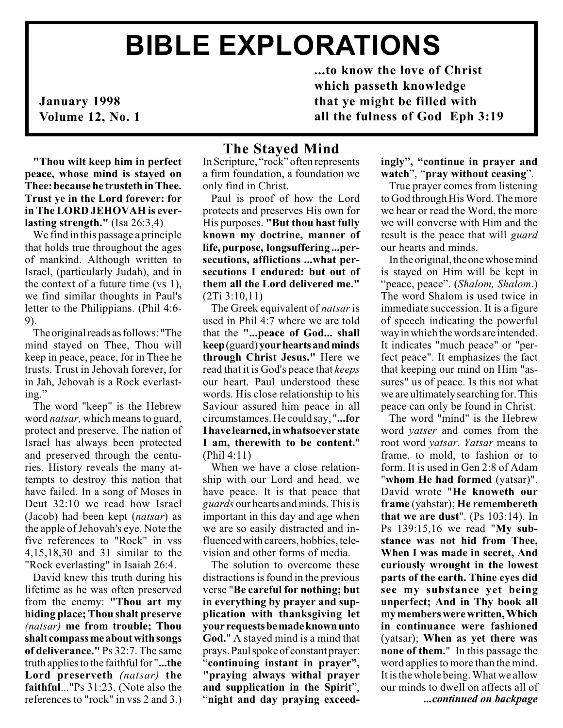# BIBLE EXPLORATIONS

January 1998 Volume 12, No. 1

...to know the love of Christ which passeth knowledge that ye might be filled with all the fulness of God Eph 3:19

"Thou wilt keep him in perfect peace, whose mind is stayed on Thee: because he trusteth in Thee. Trust ye in the Lord forever: for in The LORD JEHOVAH is everlasting strength." (Isa 26:3,4)

We find in this passage a principle that holds true throughout the ages of mankind. Although written to Israel, (particularly Judah), and in the context of a future time (vs 1), we find similar thoughts in Paul's letter to the Philippians. (Phil 4:6- 9).

The original reads as follows: "The mind stayed on Thee, Thou will keep in peace, peace, for in Thee he trusts. Trust in Jehovah forever, for in Jah, Jehovah is a Rock everlasting.

The word "keep" is the Hebrew word natsar, which means to guard, protect and preserve. The nation of Israel has always been protected and preserved through the centuries. History reveals the many attempts to destroy this nation that have failed. In a song of Moses in Deut 32:10 we read how Israel (Jacob) had been kept (natsar) as the apple of Jehovah's eye. Note the five references to "Rock" in vss 4,15,18,30 and 31 similar to the "Rock everlasting" in Isaiah 26:4.

David knew this truth during his lifetime as he was often preserved from the enemy: "Thou art my hiding place; Thou shalt preserve (natsar) me from trouble; Thou shalt compass me about with songs of deliverance." Ps 32:7. The same truth applies to the faithful for "...the Lord preserveth (natsar) the faithful..."Ps 31:23. (Note also the references to "rock" in vss 2 and 3.)

## The Stayed Mind

In Scripture, "rock" often represents a firm foundation, a foundation we only find in Christ.

Paul is proof of how the Lord protects and preserves His own for His purposes. "But thou hast fully known my doctrine, manner of life, purpose, longsuffering ...persecutions, afflictions ...what persecutions I endured: but out of them all the Lord delivered me." (2Ti 3:10,11)

The Greek equivalent of *natsar* is used in Phil 4:7 where we are told that the "...peace of God... shall keep(guard) your hearts and minds through Christ Jesus." Here we read that it is God's peace that keeps our heart. Paul understood these words. His close relationship to his Saviour assured him peace in all circumstamces. He could say, "...for I have learned, in whatsoever state I am, therewith to be content." (Phil 4:11)

When we have a close relationship with our Lord and head, we have peace. It is that peace that guards our hearts and minds. This is important in this day and age when we are so easily distracted and influenced with careers, hobbies, television and other forms of media.

The solution to overcome these distractions is found in the previous verse "Be careful for nothing; but in everything by prayer and supplication with thanksgiving let your requests be made known unto God." A stayed mind is a mind that prays. Paul spoke of constant prayer: "continuing instant in prayer", "praying always withal prayer and supplication in the Spirit", night and day praying exceed-

#### ingly", "continue in prayer and watch", "pray without ceasing".

True prayer comes from listening to God through His Word. The more we hear or read the Word, the more we will converse with Him and the result is the peace that will *guard* our hearts and minds.

In the original, the one whose mind is stayed on Him will be kept in "peace, peace". (Shalom, Shalom.) The word Shalom is used twice in immediate succession. It is a figure of speech indicating the powerful way in which the words are intended. It indicates "much peace" or "perfect peace". It emphasizes the fact that keeping our mind on Him "assures" us of peace. Is this not what we are ultimately searching for. This peace can only be found in Christ.

The word "mind" is the Hebrew word yatser and comes from the root word yatsar. Yatsar means to frame, to mold, to fashion or to form. It is used in Gen 2:8 of Adam "whom He had formed (yatsar)". David wrote "He knoweth our frame (yahstar); He remembereth that we are dust". (Ps 103:14). In Ps 139:15,16 we read "My substance was not hid from Thee, When I was made in secret, And curiously wrought in the lowest parts of the earth. Thine eyes did see my substance yet being unperfect; And in Thy book all my members were written, Which in continuance were fashioned (yatsar); When as yet there was none of them." In this passage the word applies to more than the mind. It is the whole being. What we allow our minds to dwell on affects all of ...continued on backpage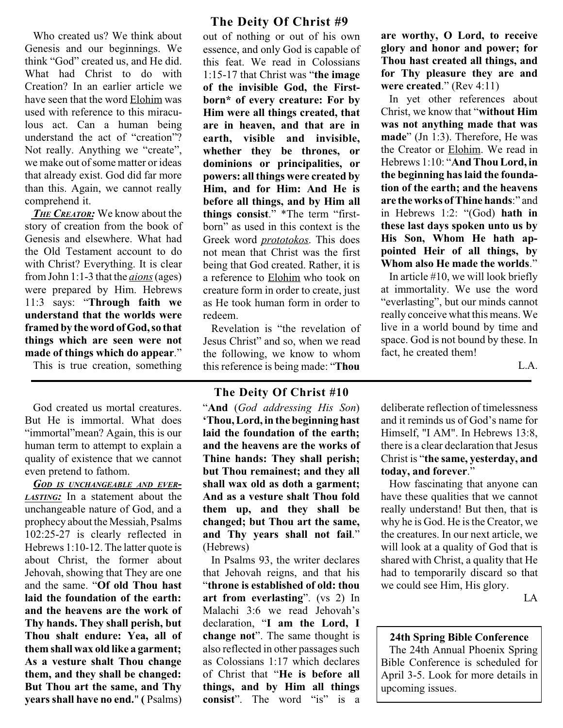Who created us? We think about Genesis and our beginnings. We think "God" created us, and He did. What had Christ to do with Creation? In an earlier article we have seen that the word Elohim was used with reference to this miraculous act. Can a human being understand the act of "creation"? Not really. Anything we "create", we make out of some matter or ideas that already exist. God did far more than this. Again, we cannot really comprehend it.

THE CREATOR: We know about the story of creation from the book of Genesis and elsewhere. What had the Old Testament account to do with Christ? Everything. It is clear from John 1:1-3 that the *aions* (ages) were prepared by Him. Hebrews 11:3 says: "Through faith we understand that the worlds were framed by the word of God, so that things which are seen were not made of things which do appear.

This is true creation, something

God created us mortal creatures. But He is immortal. What does "immortal" mean? Again, this is our human term to attempt to explain a quality of existence that we cannot even pretend to fathom.

GOD IS UNCHANGEABLE AND EVER-LASTING: In a statement about the unchangeable nature of God, and a prophecy about the Messiah, Psalms 102:25-27 is clearly reflected in Hebrews 1:10-12. The latter quote is about Christ, the former about Jehovah, showing that They are one and the same. "Of old Thou hast laid the foundation of the earth: and the heavens are the work of Thy hands. They shall perish, but Thou shalt endure: Yea, all of them shall wax old like a garment; As a vesture shalt Thou change them, and they shall be changed: But Thou art the same, and Thy years shall have no end." ( Psalms)

## The Deity Of Christ #9

out of nothing or out of his own essence, and only God is capable of this feat. We read in Colossians  $1:15-17$  that Christ was "the image" of the invisible God, the Firstborn\* of every creature: For by Him were all things created, that are in heaven, and that are in earth, visible and invisible, whether they be thrones, or dominions or principalities, or powers: all things were created by Him, and for Him: And He is before all things, and by Him all things consist." \*The term "firstborn" as used in this context is the Greek word prototokos. This does not mean that Christ was the first being that God created. Rather, it is a reference to Elohim who took on creature form in order to create, just as He took human form in order to redeem.

Revelation is "the revelation of Jesus Christ" and so, when we read the following, we know to whom this reference is being made: "Thou

#### The Deity Of Christ #10

"And (God addressing His Son) Thou, Lord, in the beginning hast laid the foundation of the earth; and the heavens are the works of Thine hands: They shall perish; but Thou remainest; and they all shall wax old as doth a garment; And as a vesture shalt Thou fold them up, and they shall be changed; but Thou art the same, and Thy years shall not fail." (Hebrews)

In Psalms 93, the writer declares that Jehovah reigns, and that his throne is established of old: thou art from everlasting".  $(vs 2)$  In Malachi 3:6 we read Jehovah's declaration, "I am the Lord, I change not". The same thought is also reflected in other passages such as Colossians 1:17 which declares of Christ that "He is before all things, and by Him all things consist". The word "is" is a

are worthy, O Lord, to receive glory and honor and power; for Thou hast created all things, and for Thy pleasure they are and were created."  $(Rev 4:11)$ 

In yet other references about Christ, we know that "without Him was not anything made that was  $made$ " (Jn 1:3). Therefore, He was the Creator or Elohim. We read in Hebrews 1:10: "And Thou Lord, in the beginning has laid the foundation of the earth; and the heavens are the works of Thine hands:" and in Hebrews 1:2: " $(God)$  hath in these last days spoken unto us by His Son, Whom He hath appointed Heir of all things, by Whom also He made the worlds."

In article #10, we will look briefly at immortality. We use the word "everlasting", but our minds cannot really conceive what this means. We live in a world bound by time and space. God is not bound by these. In fact, he created them!

L.A.

deliberate reflection of timelessness and it reminds us of God's name for Himself, "I AM". In Hebrews 13:8, there is a clear declaration that Jesus Christ is "the same, yesterday, and today, and forever.

How fascinating that anyone can have these qualities that we cannot really understand! But then, that is why he is God. He is the Creator, we the creatures. In our next article, we will look at a quality of God that is shared with Christ, a quality that He had to temporarily discard so that we could see Him, His glory.

LA

24th Spring Bible Conference The 24th Annual Phoenix Spring Bible Conference is scheduled for April 3-5. Look for more details in upcoming issues.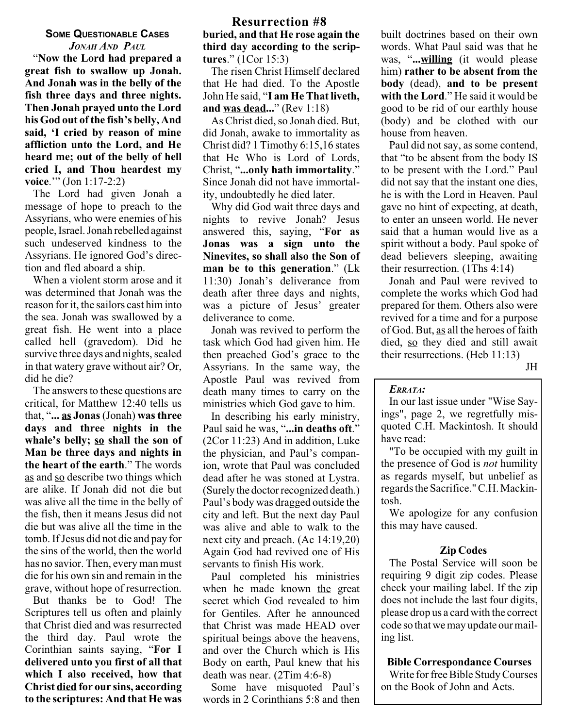#### SOME QUESTIONABLE CASES JONAH AND PAUL

Now the Lord had prepared a great fish to swallow up Jonah. And Jonah was in the belly of the fish three days and three nights. Then Jonah prayed unto the Lord his God out of the fish's belly, And said, 'I cried by reason of mine affliction unto the Lord, and He heard me; out of the belly of hell cried I, and Thou heardest my voice."" (Jon  $1:17-2:2$ )

The Lord had given Jonah a message of hope to preach to the Assyrians, who were enemies of his people, Israel. Jonah rebelled against such undeserved kindness to the Assyrians. He ignored God's direction and fled aboard a ship.

When a violent storm arose and it was determined that Jonah was the reason for it, the sailors cast him into the sea. Jonah was swallowed by a great fish. He went into a place called hell (gravedom). Did he survive three days and nights, sealed in that watery grave without air? Or, did he die?

The answers to these questions are critical, for Matthew 12:40 tells us that, "... as Jonas (Jonah) was three days and three nights in the whale's belly; so shall the son of Man be three days and nights in the heart of the earth." The words as and so describe two things which are alike. If Jonah did not die but was alive all the time in the belly of the fish, then it means Jesus did not die but was alive all the time in the tomb. If Jesus did not die and pay for the sins of the world, then the world has no savior. Then, every man must die for his own sin and remain in the grave, without hope of resurrection.

But thanks be to God! The Scriptures tell us often and plainly that Christ died and was resurrected the third day. Paul wrote the Corinthian saints saying, "For I delivered unto you first of all that which I also received, how that Christ died for our sins, according to the scriptures: And that He was

#### Resurrection #8 buried, and that He rose again the third day according to the scriptures."  $(1Cor 15:3)$

The risen Christ Himself declared that He had died. To the Apostle John He said, "I am He That liveth, and was dead..." (Rev  $1:18$ )

As Christ died, so Jonah died. But, did Jonah, awake to immortality as Christ did? 1 Timothy 6:15,16 states that He Who is Lord of Lords, Christ, "...only hath immortality." Since Jonah did not have immortality, undoubtedly he died later.

Why did God wait three days and nights to revive Jonah? Jesus answered this, saying, "For as Jonas was a sign unto the Ninevites, so shall also the Son of man be to this generation."  $(Lk)$ 11:30) Jonah's deliverance from death after three days and nights, was a picture of Jesus' greater deliverance to come.

Jonah was revived to perform the task which God had given him. He then preached God's grace to the Assyrians. In the same way, the Apostle Paul was revived from death many times to carry on the ministries which God gave to him.

In describing his early ministry, Paul said he was, "...in deaths oft." (2Cor 11:23) And in addition, Luke the physician, and Paul's companion, wrote that Paul was concluded dead after he was stoned at Lystra. (Surely the doctor recognized death.) Paul's body was dragged outside the city and left. But the next day Paul was alive and able to walk to the next city and preach. (Ac 14:19,20) Again God had revived one of His servants to finish His work.

Paul completed his ministries when he made known the great secret which God revealed to him for Gentiles. After he announced that Christ was made HEAD over spiritual beings above the heavens, and over the Church which is His Body on earth, Paul knew that his death was near. (2Tim 4:6-8)

Some have misquoted Paul's words in 2 Corinthians 5:8 and then built doctrines based on their own words. What Paul said was that he was, "...willing (it would please him) rather to be absent from the body (dead), and to be present with the Lord." He said it would be good to be rid of our earthly house (body) and be clothed with our house from heaven.

Paul did not say, as some contend, that "to be absent from the body IS to be present with the Lord." Paul did not say that the instant one dies, he is with the Lord in Heaven. Paul gave no hint of expecting, at death, to enter an unseen world. He never said that a human would live as a spirit without a body. Paul spoke of dead believers sleeping, awaiting their resurrection. (1Ths 4:14)

Jonah and Paul were revived to complete the works which God had prepared for them. Others also were revived for a time and for a purpose of God. But, as all the heroes of faith died, so they died and still await their resurrections. (Heb 11:13)

JH

#### ERRATA:

In our last issue under "Wise Sayings", page 2, we regretfully misquoted C.H. Mackintosh. It should have read:

"To be occupied with my guilt in the presence of God is *not* humility as regards myself, but unbelief as regards the Sacrifice." C.H. Mackintosh.

We apologize for any confusion this may have caused.

## Zip Codes

The Postal Service will soon be requiring 9 digit zip codes. Please check your mailing label. If the zip does not include the last four digits, please drop us a card with the correct code so that we may update our mailing list.

#### Bible Correspondance Courses

Write for free Bible Study Courses on the Book of John and Acts.